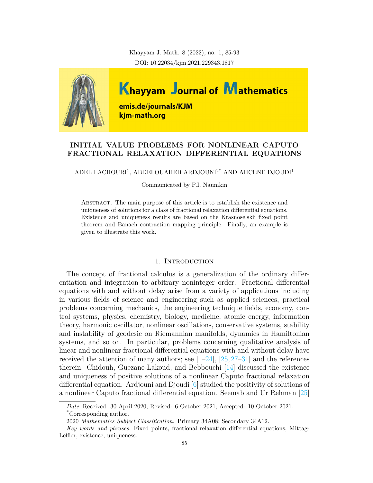Khayyam J. Math. 8 (2022), no. 1, 85-93 DOI: 10.22034/kjm.2021.229343.1817



# **INITIAL VALUE PROBLEMS FOR NONLINEAR CAPUTO FRACTIONAL RELAXATION DIFFERENTIAL EQUATIONS**

ADEL LACHOURI<sup>1</sup>, ABDELOUAHEB ARDJOUNI<sup>2\*</sup> AND AHCENE DJOUDI<sup>1</sup>

Communicated by P.I. Naumkin

Abstract. The main purpose of this article is to establish the existence and uniqueness of solutions for a class of fractional relaxation differential equations. Existence and uniqueness results are based on the Krasnoselskii fixed point theorem and Banach contraction mapping principle. Finally, an example is given to illustrate this work.

# 1. INTRODUCTION

The concept of fractional calculus is a generalization of the ordinary differentiation and integration to arbitrary noninteger order. Fractional differential equations with and without delay arise from a variety of applications including in various fields of science and engineering such as applied sciences, practical problems concerning mechanics, the engineering technique fields, economy, control systems, physics, chemistry, biology, medicine, atomic energy, information theory, harmonic oscillator, nonlinear oscillations, conservative systems, stability and instability of geodesic on Riemannian manifolds, dynamics in Hamiltonian systems, and so on. In particular, problems concerning qualitative analysis of linear and nonlinear fractional differential equations with and without delay have received the attention of many authors; see  $[1-24]$  $[1-24]$  $[1-24]$ ,  $[25, 27-31]$  $[25, 27-31]$  $[25, 27-31]$  $[25, 27-31]$  $[25, 27-31]$  and the references therein. Chidouh, Guezane-Lakoud, and Bebbouchi [\[14\]](#page-7-4) discussed the existence and uniqueness of positive solutions of a nonlinear Caputo fractional relaxation differential equation. Ardjouni and Djoudi [\[6\]](#page-6-1) studied the positivity of solutions of a nonlinear Caputo fractional differential equation. Seemab and Ur Rehman [\[25\]](#page-7-1)

*Date*: Received: 30 April 2020; Revised: 6 October 2021; Accepted: 10 October 2021. \*Corresponding author.

<sup>2020</sup> *Mathematics Subject Classification.* Primary 34A08; Secondary 34A12.

*Key words and phrases.* Fixed points, fractional relaxation differential equations, Mittag-Leffler, existence, uniqueness.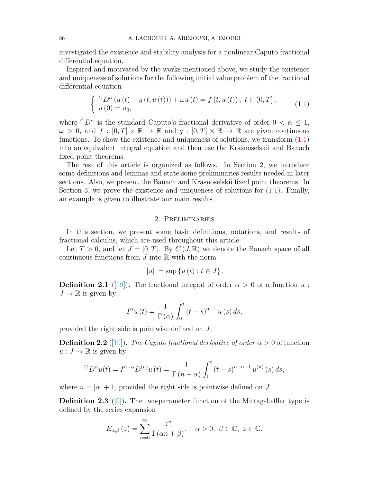investigated the existence and stability analysis for a nonlinear Caputo fractional differential equation.

Inspired and motivated by the works mentioned above, we study the existence and uniqueness of solutions for the following initial value problem of the fractional differential equation

<span id="page-1-0"></span>
$$
\begin{cases} C_{D^{\alpha}}(u(t) - g(t, u(t))) + \omega u(t) = f(t, u(t)), \ t \in (0, T], \\ u(0) = u_0, \end{cases}
$$
 (1.1)

where  ${}^{C}D^{\alpha}$  is the standard Caputo's fractional derivative of order  $0 < \alpha \leq 1$ ,  $\omega > 0$ , and  $f : [0, T] \times \mathbb{R} \to \mathbb{R}$  and  $q : [0, T] \times \mathbb{R} \to \mathbb{R}$  are given continuous functions. To show the existence and uniqueness of solutions, we transform ([1.1\)](#page-1-0) into an equivalent integral equation and then use the Krasnoselskii and Banach fixed point theorems.

The rest of this article is organized as follows. In Section 2, we introduce some definitions and lemmas and state some preliminaries results needed in later sections. Also, we present the Banach and Krasnoselskii fixed point theorems. In Section 3, we prove the existence and uniqueness of solutions for  $(1.1)$  $(1.1)$ . Finally, an example is given to illustrate our main results.

#### 2. Preliminaries

In this section, we present some basic definitions, notations, and results of fractional calculus, which are used throughout this article.

Let  $T > 0$ , and let  $J = [0, T]$ . By  $C (J, \mathbb{R})$  we denote the Banach space of all continuous functions from  $J$  into  $\mathbb R$  with the norm

$$
||u|| = \sup \{u(t) : t \in J\}.
$$

**Definition 2.1** ([[19\]](#page-7-5)). The fractional integral of order  $\alpha > 0$  of a function *u*:  $J \to \mathbb{R}$  is given by

$$
I^{\alpha}u(t) = \frac{1}{\Gamma(\alpha)} \int_0^t (t - s)^{\alpha - 1} u(s) ds,
$$

provided the right side is pointwise defined on *J*.

**Definition 2.2** ([\[19](#page-7-5)]). *The Caputo fractional derivative of order*  $\alpha > 0$  of function  $u: J \to \mathbb{R}$  is given by

$$
{}^{C}D^{\alpha}u(t) = I^{n-\alpha}D^{(n)}u(t) = \frac{1}{\Gamma(n-\alpha)} \int_{0}^{t} (t-s)^{n-\alpha-1} u^{(n)}(s) ds,
$$

where  $n = [\alpha] + 1$ , provided the right side is pointwise defined on *J*.

**Definition 2.3** ([[9\]](#page-6-2)). The two-parameter function of the Mittag-Leffler type is defined by the series expansion

$$
E_{\alpha,\beta}(z) = \sum_{n=0}^{\infty} \frac{z^n}{\Gamma(\alpha n + \beta)}, \quad \alpha > 0, \ \beta \in \mathbb{C}, \ z \in \mathbb{C}.
$$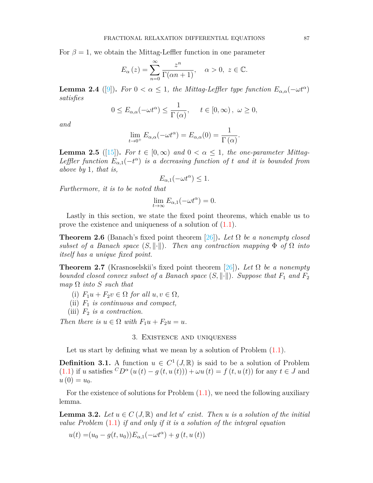For  $\beta = 1$ , we obtain the Mittag-Leffler function in one parameter

$$
E_{\alpha}(z) = \sum_{n=0}^{\infty} \frac{z^n}{\Gamma(\alpha n + 1)}, \quad \alpha > 0, \ z \in \mathbb{C}.
$$

**Lemma 2.4** ([\[9](#page-6-2)]). For  $0 < \alpha \leq 1$ , the Mittag-Leffler type function  $E_{\alpha,\alpha}(-\omega t^{\alpha})$ *satisfies*

$$
0 \le E_{\alpha,\alpha}(-\omega t^{\alpha}) \le \frac{1}{\Gamma(\alpha)}, \quad t \in [0,\infty), \ \omega \ge 0,
$$

*and*

$$
\lim_{t \to 0^+} E_{\alpha,\alpha}(-\omega t^{\alpha}) = E_{\alpha,\alpha}(0) = \frac{1}{\Gamma(\alpha)}.
$$

**Lemma 2.5** ([[15\]](#page-7-6)). For  $t \in [0, \infty)$  and  $0 < \alpha < 1$ , the one-parameter Mittag-*Leffler function*  $E_{\alpha,1}(-t^{\alpha})$  *is a decreasing function of t and it is bounded from above by* 1*, that is,*

$$
E_{\alpha,1}(-\omega t^{\alpha}) \le 1.
$$

*Furthermore, it is to be noted that*

$$
\lim_{t \to \infty} E_{\alpha,1}(-\omega t^{\alpha}) = 0.
$$

Lastly in this section, we state the fixed point theorems, which enable us to prove the existence and uniqueness of a solution of ([1.1\)](#page-1-0).

**Theorem 2.6** (Banach's fixed point theorem [\[26](#page-7-7)]). Let  $\Omega$  be a nonempty closed *subset of a Banach space*  $(S, ||\cdot||)$ *. Then any contraction mapping*  $\Phi$  *of*  $\Omega$  *into itself has a unique fixed point.*

**Theorem 2.7** (Krasnoselskii's fixed point theorem [\[26](#page-7-7)])**.** *Let* Ω *be a nonempty bounded closed convex subset of a Banach space*  $(S, \|\cdot\|)$ *. Suppose that*  $F_1$  *and*  $F_2$  $map \Omega$  *into S such that* 

- (i)  $F_1u + F_2v \in \Omega$  for all  $u, v \in \Omega$ ,
- (ii) *F*<sup>1</sup> *is continuous and compact,*
- (iii) *F*<sup>2</sup> *is a contraction.*

*Then there is*  $u \in \Omega$  *with*  $F_1u + F_2u = u$ .

### 3. Existence and uniqueness

Let us start by defining what we mean by a solution of Problem  $(1.1)$  $(1.1)$ .

**Definition 3.1.** A function  $u \in C^1(J, \mathbb{R})$  is said to be a solution of Problem ([1.1\)](#page-1-0) if *u* satisfies  ${}^CD^{\alpha}(u(t) - g(t, u(t))) + \omega u(t) = f(t, u(t))$  for any *t* ∈ *J* and  $u(0) = u_0$ .

For the existence of solutions for Problem  $(1.1)$  $(1.1)$ , we need the following auxiliary lemma.

**Lemma 3.2.** *Let*  $u \in C(J, \mathbb{R})$  *and let*  $u'$  *exist. Then*  $u$  *is a solution of the initial value Problem* ([1.1\)](#page-1-0) *if and only if it is a solution of the integral equation*

$$
u(t) = (u_0 - g(t, u_0))E_{\alpha,1}(-\omega t^{\alpha}) + g(t, u(t))
$$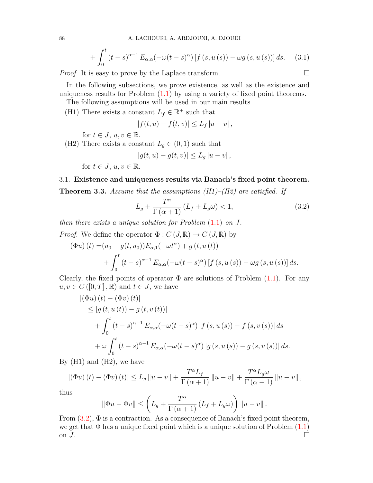$$
+\int_0^t \left(t-s\right)^{\alpha-1} E_{\alpha,\alpha}(-\omega(t-s)^\alpha) \left[f\left(s,u\left(s\right)\right)-\omega g\left(s,u\left(s\right)\right)\right] ds. \tag{3.1}
$$

*Proof.* It is easy to prove by the Laplace transform.  $\Box$ 

In the following subsections, we prove existence, as well as the existence and uniqueness results for Problem  $(1.1)$  $(1.1)$  by using a variety of fixed point theorems.

The following assumptions will be used in our main results

(H1) There exists a constant  $L_f \in \mathbb{R}^+$  such that

<span id="page-3-0"></span>
$$
|f(t, u) - f(t, v)| \le L_f |u - v|,
$$

for  $t \in J$ ,  $u, v \in \mathbb{R}$ .

(H2) There exists a constant  $L_g \in (0,1)$  such that

$$
|g(t, u) - g(t, v)| \le L_g |u - v|,
$$

for  $t \in J$ ,  $u, v \in \mathbb{R}$ .

# 3.1. **Existence and uniqueness results via Banach's fixed point theorem.**

<span id="page-3-1"></span>**Theorem 3.3.** *Assume that the assumptions (H1)–(H2) are satisfied. If*

$$
L_g + \frac{T^{\alpha}}{\Gamma(\alpha+1)} \left( L_f + L_g \omega \right) < 1,\tag{3.2}
$$

*then there exists a unique solution for Problem* ([1.1\)](#page-1-0) *on J.*

*Proof.* We define the operator  $\Phi: C(\mathcal{J}, \mathbb{R}) \to C(\mathcal{J}, \mathbb{R})$  by

$$
(\Phi u) (t) = (u_0 - g(t, u_0)) E_{\alpha,1}(-\omega t^{\alpha}) + g(t, u(t)) + \int_0^t (t - s)^{\alpha - 1} E_{\alpha,\alpha}(-\omega (t - s)^{\alpha}) [f(s, u(s)) - \omega g(s, u(s))] ds.
$$

Clearly, the fixed points of operator  $\Phi$  are solutions of Problem  $(1.1)$  $(1.1)$ . For any  $u, v \in C([0, T], \mathbb{R})$  and  $t \in J$ , we have

$$
\begin{aligned} \left| \left( \Phi u \right) (t) - \left( \Phi v \right) (t) \right| \\ &\leq \left| g \left( t, u \left( t \right) \right) - g \left( t, v \left( t \right) \right) \right| \\ &\quad + \int_0^t \left( t - s \right)^{\alpha - 1} E_{\alpha, \alpha}(-\omega (t - s)^\alpha) \left| f \left( s, u \left( s \right) \right) - f \left( s, v \left( s \right) \right) \right| ds \\ &\quad + \omega \int_0^t \left( t - s \right)^{\alpha - 1} E_{\alpha, \alpha}(-\omega (t - s)^\alpha) \left| g \left( s, u \left( s \right) \right) - g \left( s, v \left( s \right) \right) \right| ds. \end{aligned}
$$

By  $(H1)$  and  $(H2)$ , we have

$$
|(\Phi u)(t) - (\Phi v)(t)| \le L_g \|u - v\| + \frac{T^{\alpha}L_f}{\Gamma(\alpha+1)} \|u - v\| + \frac{T^{\alpha}L_g\omega}{\Gamma(\alpha+1)} \|u - v\|,
$$

thus

$$
\|\Phi u - \Phi v\| \le \left( L_g + \frac{T^{\alpha}}{\Gamma(\alpha+1)} \left( L_f + L_g \omega \right) \right) \|u - v\|.
$$

From  $(3.2)$  $(3.2)$ ,  $\Phi$  is a contraction. As a consequence of Banach's fixed point theorem, we get that  $\Phi$  has a unique fixed point which is a unique solution of Problem  $(1.1)$  $(1.1)$ on *J*.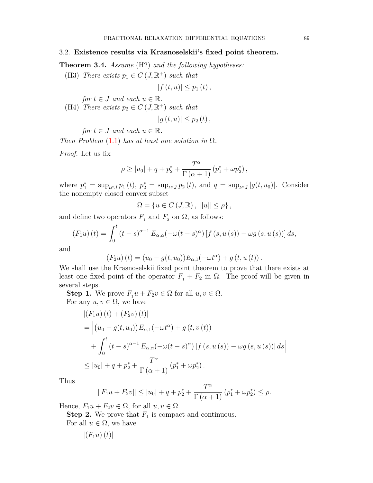#### 3.2. **Existence results via Krasnoselskii's fixed point theorem.**

**Theorem 3.4.** *Assume* (H2) *and the following hypotheses:*

(H3) *There exists*  $p_1 \in C \left( J, \mathbb{R}^+ \right)$  *such that* 

$$
|f(t, u)| \leq p_1(t),
$$

*for*  $t \in J$  *and each*  $u \in \mathbb{R}$ *.* 

(H4) *There exists*  $p_2 \in C \left( J, \mathbb{R}^+ \right)$  *such that* 

$$
|g(t, u)| \leq p_2(t),
$$

*for*  $t \in J$  *and each*  $u \in \mathbb{R}$ *.* 

*Then Problem* [\(1.1](#page-1-0)) *has at least one solution in*  $\Omega$ *.* 

*Proof.* Let us fix

$$
\rho \ge |u_0| + q + p_2^* + \frac{T^{\alpha}}{\Gamma(\alpha+1)} (p_1^* + \omega p_2^*),
$$

where  $p_1^* = \sup_{t \in J} p_1(t)$ ,  $p_2^* = \sup_{t \in J} p_2(t)$ , and  $q = \sup_{t \in J} |g(t, u_0)|$ . Consider the nonempty closed convex subset

$$
\Omega = \left\{ u \in C \left( J, \mathbb{R} \right), \ \|u\| \le \rho \right\},\
$$

and define two operators  $F_1$  and  $F_2$  on  $\Omega$ , as follows:

$$
(F_1u)(t) = \int_0^t (t-s)^{\alpha-1} E_{\alpha,\alpha}(-\omega(t-s)^\alpha) \left[ f(s, u(s)) - \omega g(s, u(s)) \right] ds,
$$

and

$$
(F_2u)(t) = (u_0 - g(t, u_0))E_{\alpha,1}(-\omega t^{\alpha}) + g(t, u(t)).
$$

We shall use the Krasnoselskii fixed point theorem to prove that there exists at least one fixed point of the operator  $F_1 + F_2$  in  $\Omega$ . The proof will be given in several steps.

**Step 1.** We prove  $F_1 u + F_2 v \in \Omega$  for all  $u, v \in \Omega$ . For any  $u, v \in \Omega$ , we have

$$
\begin{aligned} \left| (F_1 u)(t) + (F_2 v)(t) \right| \\ &= \left| \left( u_0 - g(t, u_0) \right) E_{\alpha, 1}(-\omega t^{\alpha}) + g(t, v(t)) \right| \\ &+ \int_0^t (t - s)^{\alpha - 1} E_{\alpha, \alpha}(-\omega (t - s)^{\alpha}) \left[ f(s, u(s)) - \omega g(s, u(s)) \right] ds \right| \\ &\leq |u_0| + q + p_2^* + \frac{T^{\alpha}}{\Gamma(\alpha + 1)} \left( p_1^* + \omega p_2^* \right). \end{aligned}
$$

Thus

$$
||F_1u + F_2v|| \le |u_0| + q + p_2^* + \frac{T^{\alpha}}{\Gamma(\alpha+1)} (p_1^* + \omega p_2^*) \le \rho.
$$

Hence,  $F_1u + F_2v \in \Omega$ , for all  $u, v \in \Omega$ .

**Step 2.** We prove that  $F_1$  is compact and continuous.

For all  $u \in \Omega$ , we have

$$
\left|\left(F_1u\right)(t)\right|
$$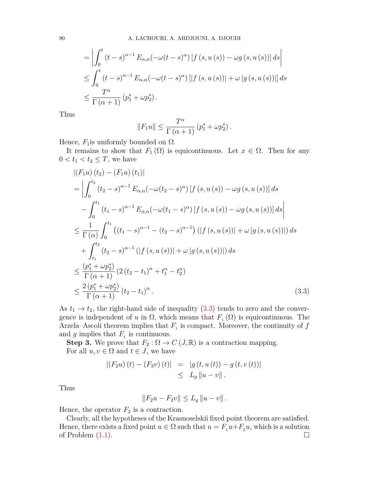$$
= \left| \int_0^t (t-s)^{\alpha-1} E_{\alpha,\alpha}(-\omega(t-s)^\alpha) \left[ f(s, u(s)) - \omega g(s, u(s)) \right] ds \right|
$$
  

$$
\leq \int_0^t (t-s)^{\alpha-1} E_{\alpha,\alpha}(-\omega(t-s)^\alpha) \left[ \left| f(s, u(s)) \right| + \omega \left| g(s, u(s)) \right| \right] ds
$$
  

$$
\leq \frac{T^\alpha}{\Gamma(\alpha+1)} (p_1^* + \omega p_2^*).
$$

Thus

$$
||F_1u|| \leq \frac{T^{\alpha}}{\Gamma(\alpha+1)} (p_1^* + \omega p_2^*).
$$

Hence,  $F_1$  is uniformly bounded on  $\Omega$ .

It remains to show that  $F_1(\Omega)$  is equicontinuous. Let  $x \in \Omega$ . Then for any  $0 < t_1 < t_2 \leq T$ , we have

$$
\begin{split}\n& |(F_1u)(t_2) - (F_1u)(t_1)| \\
&= \left| \int_0^{t_2} (t_2 - s)^{\alpha - 1} E_{\alpha,\alpha}(-\omega(t_2 - s)^{\alpha}) \left[ f(s, u(s)) - \omega g(s, u(s)) \right] ds \right| \\
&- \int_0^{t_1} (t_1 - s)^{\alpha - 1} E_{\alpha,\alpha}(-\omega(t_1 - s)^{\alpha}) \left[ f(s, u(s)) - \omega g(s, u(s)) \right] ds \right| \\
&\leq \frac{1}{\Gamma(\alpha)} \int_0^{t_1} \left( (t_1 - s)^{\alpha - 1} - (t_2 - s)^{\alpha - 1} \right) \left( |f(s, u(s))| + \omega |g(s, u(s))| \right) ds \\
&+ \int_{t_1}^{t_2} (t_2 - s)^{\alpha - 1} \left( |f(s, u(s))| + \omega |g(s, u(s))| \right) ds \\
&\leq \frac{(p_1^* + \omega p_2^*)}{\Gamma(\alpha + 1)} \left( 2(t_2 - t_1)^{\alpha} + t_1^{\alpha} - t_2^{\alpha} \right) \\
&\leq \frac{2 (p_1^* + \omega p_2^*)}{\Gamma(\alpha + 1)} (t_2 - t_1)^{\alpha} .\n\end{split} \tag{3.3}
$$

As  $t_1 \rightarrow t_2$ , the right-hand side of inequality  $(3.3)$  $(3.3)$  tends to zero and the convergence is independent of *u* in  $\Omega$ , which means that  $F_1(\Omega)$  is equicontinuous. The Arzela–Ascoli theorem implies that  $F_1$  is compact. Moreover, the continuity of  $f$ and  $g$  implies that  $F_1$  is continuous.

**Step 3.** We prove that  $F_2$ :  $\Omega \to C$  (*J, R)* is a contraction mapping. For all  $u, v \in \Omega$  and  $t \in J$ , we have

$$
|(F_2u)(t) - (F_2v)(t)| = |g(t, u(t)) - g(t, v(t))|
$$
  
 $\leq L_g ||u - v||.$ 

Thus

<span id="page-5-0"></span>
$$
||F_2u - F_2v|| \le L_g ||u - v||.
$$

Hence, the operator  $F_2$  is a contraction.

Clearly, all the hypotheses of the Krasnoselskii fixed point theorem are satisfied. Hence, there exists a fixed point  $u \in \Omega$  such that  $u = F_1 u + F_2 u$ , which is a solution of Problem  $(1.1)$  $(1.1)$ .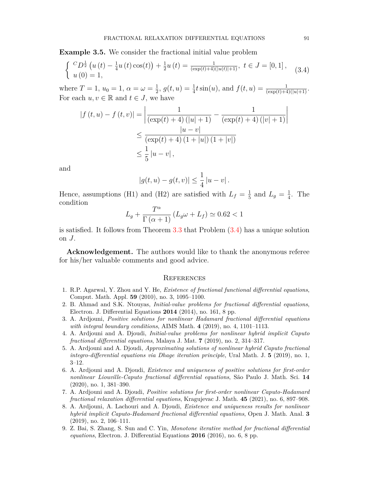**Example 3.5.** We consider the fractional initial value problem

<span id="page-6-3"></span>
$$
\begin{cases} \ {}^{C}D^{\frac{1}{2}}\left(u\left(t\right)-\frac{1}{4}u\left(t\right)\cos(t)\right)+\frac{1}{2}u\left(t\right)=\frac{1}{\left(\exp(t)+4\right)\left(\left|u\left(t\right)\right|+1\right)},\ t\in J=[0,1]\,,\\ u\left(0\right)=1,\end{cases} \tag{3.4}
$$

where  $T = 1, u_0 = 1, \alpha = \omega = \frac{1}{2}$  $\frac{1}{2}$ ,  $g(t, u) = \frac{1}{4}t \sin(u)$ , and  $f(t, u) = \frac{1}{(\exp(t) + 4)(|u| + 1)}$ . For each  $u, v \in \mathbb{R}$  and  $t \in J$ , we have

$$
|f(t, u) - f(t, v)| = \left| \frac{1}{(\exp(t) + 4) (|u| + 1)} - \frac{1}{(\exp(t) + 4) (|v| + 1)} \right|
$$
  

$$
\leq \frac{|u - v|}{(\exp(t) + 4) (1 + |u|) (1 + |v|)}
$$
  

$$
\leq \frac{1}{5} |u - v|,
$$

and

$$
|g(t, u) - g(t, v)| \leq \frac{1}{4} |u - v|
$$
.

Hence, assumptions (H1) and (H2) are satisfied with  $L_f = \frac{1}{5}$  $\frac{1}{5}$  and  $L_g = \frac{1}{4}$  $\frac{1}{4}$ . The condition

$$
L_g + \frac{T^{\alpha}}{\Gamma(\alpha+1)} \left( L_g \omega + L_f \right) \simeq 0.62 < 1
$$

is satisfied. It follows from Theorem [3.3](#page-3-1) that Problem ([3.4\)](#page-6-3) has a unique solution on *J*.

**Acknowledgement.** The authors would like to thank the anonymous referee for his/her valuable comments and good advice.

### **REFERENCES**

- <span id="page-6-0"></span>1. R.P. Agarwal, Y. Zhou and Y. He, *Existence of fractional functional differential equations*, Comput. Math. Appl. **59** (2010), no. 3, 1095–1100.
- 2. B. Ahmad and S.K. Ntouyas, *Initial-value problems for fractional differential equations*, Electron. J. Differential Equations **2014** (2014), no. 161, 8 pp.
- 3. A. Ardjouni, *Positive solutions for nonlinear Hadamard fractional differential equations with integral boundary conditions*, AIMS Math. **4** (2019), no. 4, 1101–1113.
- 4. A. Ardjouni and A. Djoudi, *Initial-value problems for nonlinear hybrid implicit Caputo fractional differential equations*, Malaya J. Mat. **7** (2019), no. 2, 314–317.
- 5. A. Ardjouni and A. Djoudi, *Approximating solutions of nonlinear hybrid Caputo fractional integro-differential equations via Dhage iteration principle*, Ural Math. J. **5** (2019), no. 1, 3–12.
- <span id="page-6-1"></span>6. A. Ardjouni and A. Djoudi, *Existence and uniqueness of positive solutions for first-order nonlinear Liouville-Caputo fractional differential equations*, São Paulo J. Math. Sci. **14** (2020), no. 1, 381–390.
- 7. A. Ardjouni and A. Djoudi, *Positive solutions for first-order nonlinear Caputo-Hadamard fractional relaxation differential equations*, Kragujevac J. Math. **45** (2021), no. 6, 897–908.
- 8. A. Ardjouni, A. Lachouri and A. Djoudi, *Existence and uniqueness results for nonlinear hybrid implicit Caputo-Hadamard fractional differential equations*, Open J. Math. Anal. **3** (2019), no. 2, 106–111.
- <span id="page-6-2"></span>9. Z. Bai, S. Zhang, S. Sun and C. Yin, *Monotone iterative method for fractional differential equations*, Electron. J. Differential Equations **2016** (2016), no. 6, 8 pp.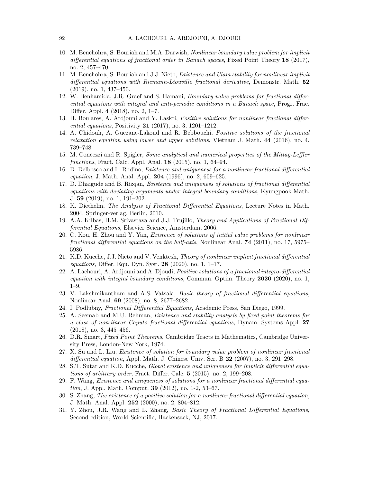- 10. M. Benchohra, S. Bouriah and M.A. Darwish, *Nonlinear boundary value problem for implicit differential equations of fractional order in Banach spaces*, Fixed Point Theory **18** (2017), no. 2, 457–470.
- 11. M. Benchohra, S. Bouriah and J.J. Nieto, *Existence and Ulam stability for nonlinear implicit differential equations with Riemann-Liouville fractional derivative*, Demonstr. Math. **52** (2019), no. 1, 437–450.
- 12. W. Benhamida, J.R. Graef and S. Hamani, *Boundary value problems for fractional differential equations with integral and anti-periodic conditions in a Banach space*, Progr. Frac. Differ. Appl. **4** (2018), no. 2, 1–7.
- 13. H. Boulares, A. Ardjouni and Y. Laskri, *Positive solutions for nonlinear fractional differential equations*, Positivity **21** (2017), no. 3, 1201–1212.
- <span id="page-7-4"></span>14. A. Chidouh, A. Guezane-Lakoud and R. Bebbouchi, *Positive solutions of the fractional relaxation equation using lower and upper solutions*, Vietnam J. Math. **44** (2016), no. 4, 739–748.
- <span id="page-7-6"></span>15. M. Concezzi and R. Spigler, *Some analytical and numerical properties of the Mittag-Leffler functions*, Fract. Calc. Appl. Anal. **18** (2015), no. 1, 64–94.
- 16. D. Delbosco and L. Rodino, *Existence and uniqueness for a nonlinear fractional differential equation*, J. Math. Anal. Appl. **204** (1996), no. 2, 609–625.
- 17. D. Dhaigude and B. Rizqan, *Existence and uniqueness of solutions of fractional differential equations with deviating arguments under integral boundary conditions*, Kyungpook Math. J. **59** (2019), no. 1, 191–202.
- 18. K. Diethelm, *The Analysis of Fractional Differential Equations*, Lecture Notes in Math. 2004, Springer-verlag, Berlin, 2010.
- <span id="page-7-5"></span>19. A.A. Kilbas, H.M. Srivastava and J.J. Trujillo, *Theory and Applications of Fractional Differential Equations*, Elsevier Science, Amsterdam, 2006.
- 20. C. Kou, H. Zhou and Y. Yan, *Existence of solutions of initial value problems for nonlinear fractional differential equations on the half-axis*, Nonlinear Anal. **74** (2011), no. 17, 5975– 5986.
- 21. K.D. Kucche, J.J. Nieto and V. Venktesh, *Theory of nonlinear implicit fractional differential equations*, Differ. Equ. Dyn. Syst. **28** (2020), no. 1, 1–17.
- 22. A. Lachouri, A. Ardjouni and A. Djoudi, *Positive solutions of a fractional integro-differential equation with integral boundary conditions*, Commun. Optim. Theory **2020** (2020), no. 1, 1–9.
- 23. V. Lakshmikantham and A.S. Vatsala, *Basic theory of fractional differential equations*, Nonlinear Anal. **69** (2008), no. 8, 2677–2682.
- <span id="page-7-0"></span>24. I. Podlubny, *Fractional Differential Equations*, Academic Press, San Diego, 1999.
- <span id="page-7-1"></span>25. A. Seemab and M.U. Rehman, *Existence and stability analysis by fixed point theorems for a class of non-linear Caputo fractional differential equations*, Dynam. Systems Appl. **27** (2018), no. 3, 445–456.
- <span id="page-7-7"></span>26. D.R. Smart, *Fixed Point Theorems*, Cambridge Tracts in Mathematics, Cambridge University Press, London-New York, 1974.
- <span id="page-7-2"></span>27. X. Su and L. Liu, *Existence of solution for boundary value problem of nonlinear fractional differential equation*, Appl. Math. J. Chinese Univ. Ser. B **22** (2007), no. 3, 291–298.
- 28. S.T. Sutar and K.D. Kucche, *Global existence and uniqueness for implicit differential equations of arbitrary order*, Fract. Differ. Calc. **5** (2015), no. 2, 199–208.
- 29. F. Wang, *Existence and uniqueness of solutions for a nonlinear fractional differential equation*, J. Appl. Math. Comput. **39** (2012), no. 1-2, 53–67.
- 30. S. Zhang, *The existence of a positive solution for a nonlinear fractional differential equation*, J. Math. Anal. Appl. **252** (2000), no. 2, 804–812.
- <span id="page-7-3"></span>31. Y. Zhou, J.R. Wang and L. Zhang, *Basic Theory of Fractional Differential Equations*, Second edition, World Scientific, Hackensack, NJ, 2017.